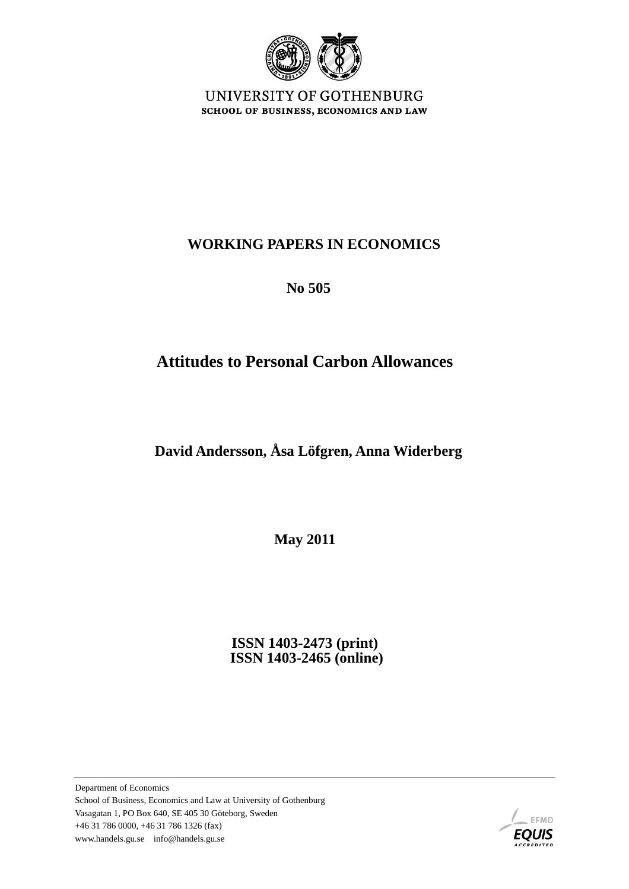

UNIVERSITY OF GOTHENBURG SCHOOL OF BUSINESS, ECONOMICS AND LAW

### **WORKING PAPERS IN ECONOMICS**

 **No 505**

# **Attitudes to Personal Carbon Allowances**

## **David Andersson, Åsa Löfgren, Anna Widerberg**

 **May 2011**

 **ISSN 1403-2473 (print) ISSN 1403-2465 (online)**

Department of Economics School of Business, Economics and Law at University of Gothenburg Vasagatan 1, PO Box 640, SE 405 30 Göteborg, Sweden +46 31 786 0000, +46 31 786 1326 (fax) www.handels.gu.se info@handels.gu.se

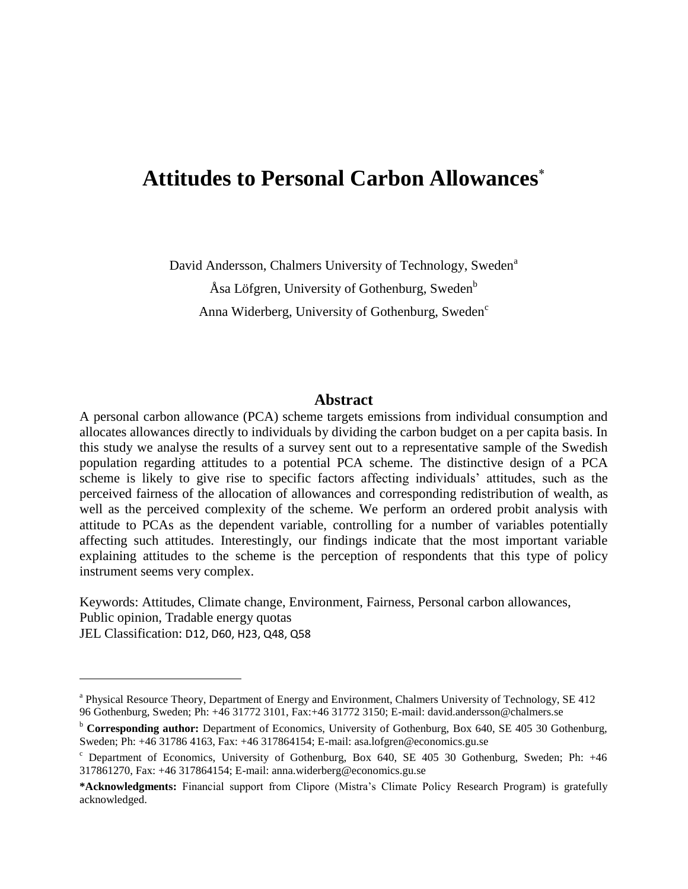## **Attitudes to Personal Carbon Allowances**

David Andersson, Chalmers University of Technology, Sweden<sup>a</sup> Åsa Löfgren, University of Gothenburg, Sweden<sup>b</sup> Anna Widerberg, University of Gothenburg, Sweden<sup>c</sup>

#### **Abstract**

A personal carbon allowance (PCA) scheme targets emissions from individual consumption and allocates allowances directly to individuals by dividing the carbon budget on a per capita basis. In this study we analyse the results of a survey sent out to a representative sample of the Swedish population regarding attitudes to a potential PCA scheme. The distinctive design of a PCA scheme is likely to give rise to specific factors affecting individuals" attitudes, such as the perceived fairness of the allocation of allowances and corresponding redistribution of wealth, as well as the perceived complexity of the scheme. We perform an ordered probit analysis with attitude to PCAs as the dependent variable, controlling for a number of variables potentially affecting such attitudes. Interestingly, our findings indicate that the most important variable explaining attitudes to the scheme is the perception of respondents that this type of policy instrument seems very complex.

Keywords: Attitudes, Climate change, Environment, Fairness, Personal carbon allowances, Public opinion, Tradable energy quotas JEL Classification: D12, D60, H23, Q48, Q58

 $\overline{a}$ 

<sup>&</sup>lt;sup>a</sup> Physical Resource Theory, Department of Energy and Environment, Chalmers University of Technology, SE 412 96 Gothenburg, Sweden; Ph: +46 31772 3101, Fax:+46 31772 3150; E-mail: david.andersson@chalmers.se

<sup>b</sup> **Corresponding author:** Department of Economics, University of Gothenburg, Box 640, SE 405 30 Gothenburg, Sweden; Ph: +46 31786 4163, Fax: +46 317864154; E-mail: asa.lofgren@economics.gu.se

 $c$  Department of Economics, University of Gothenburg, Box 640, SE 405 30 Gothenburg, Sweden; Ph:  $+46$ 317861270, Fax: +46 317864154; E-mail: anna.widerberg@economics.gu.se

**<sup>\*</sup>Acknowledgments:** Financial support from Clipore (Mistra"s Climate Policy Research Program) is gratefully acknowledged.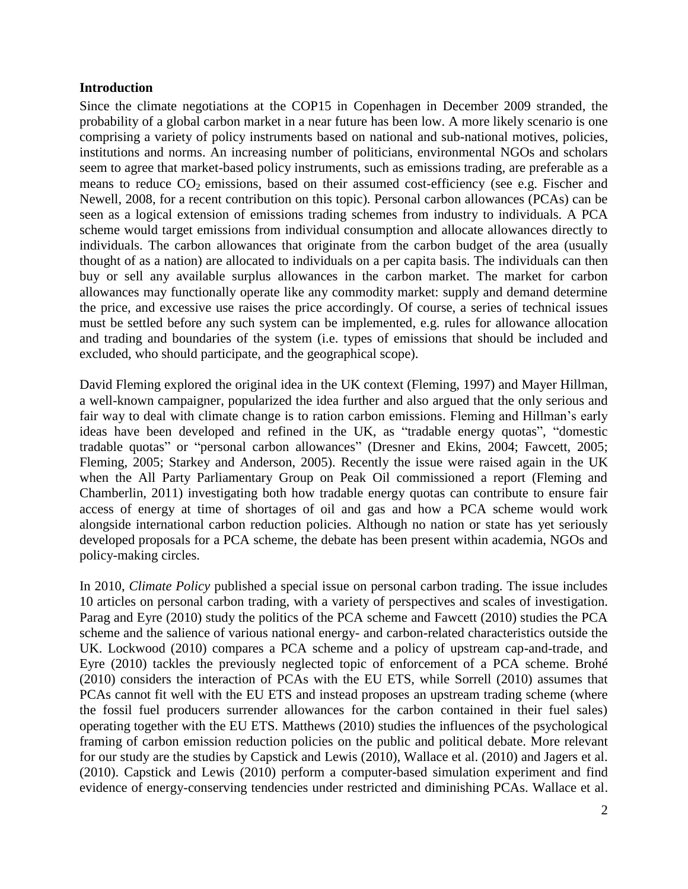#### **Introduction**

Since the climate negotiations at the COP15 in Copenhagen in December 2009 stranded, the probability of a global carbon market in a near future has been low. A more likely scenario is one comprising a variety of policy instruments based on national and sub-national motives, policies, institutions and norms. An increasing number of politicians, environmental NGOs and scholars seem to agree that market-based policy instruments, such as emissions trading, are preferable as a means to reduce  $CO_2$  emissions, based on their assumed cost-efficiency (see e.g. Fischer and Newell, 2008, for a recent contribution on this topic). Personal carbon allowances (PCAs) can be seen as a logical extension of emissions trading schemes from industry to individuals. A PCA scheme would target emissions from individual consumption and allocate allowances directly to individuals. The carbon allowances that originate from the carbon budget of the area (usually thought of as a nation) are allocated to individuals on a per capita basis. The individuals can then buy or sell any available surplus allowances in the carbon market. The market for carbon allowances may functionally operate like any commodity market: supply and demand determine the price, and excessive use raises the price accordingly. Of course, a series of technical issues must be settled before any such system can be implemented, e.g. rules for allowance allocation and trading and boundaries of the system (i.e. types of emissions that should be included and excluded, who should participate, and the geographical scope).

David Fleming explored the original idea in the UK context (Fleming, 1997) and Mayer Hillman, a well-known campaigner, popularized the idea further and also argued that the only serious and fair way to deal with climate change is to ration carbon emissions. Fleming and Hillman's early ideas have been developed and refined in the UK, as "tradable energy quotas", "domestic tradable quotas" or "personal carbon allowances" (Dresner and Ekins, 2004; Fawcett, 2005; Fleming, 2005; Starkey and Anderson, 2005). Recently the issue were raised again in the UK when the All Party Parliamentary Group on Peak Oil commissioned a report (Fleming and Chamberlin, 2011) investigating both how tradable energy quotas can contribute to ensure fair access of energy at time of shortages of oil and gas and how a PCA scheme would work alongside international carbon reduction policies. Although no nation or state has yet seriously developed proposals for a PCA scheme, the debate has been present within academia, NGOs and policy-making circles.

In 2010, *Climate Policy* published a special issue on personal carbon trading. The issue includes 10 articles on personal carbon trading, with a variety of perspectives and scales of investigation. Parag and Eyre (2010) study the politics of the PCA scheme and Fawcett (2010) studies the PCA scheme and the salience of various national energy- and carbon-related characteristics outside the UK. Lockwood (2010) compares a PCA scheme and a policy of upstream cap-and-trade, and Eyre (2010) tackles the previously neglected topic of enforcement of a PCA scheme. Brohé (2010) considers the interaction of PCAs with the EU ETS, while Sorrell (2010) assumes that PCAs cannot fit well with the EU ETS and instead proposes an upstream trading scheme (where the fossil fuel producers surrender allowances for the carbon contained in their fuel sales) operating together with the EU ETS. Matthews (2010) studies the influences of the psychological framing of carbon emission reduction policies on the public and political debate. More relevant for our study are the studies by Capstick and Lewis (2010), Wallace et al. (2010) and Jagers et al. (2010). Capstick and Lewis (2010) perform a computer-based simulation experiment and find evidence of energy-conserving tendencies under restricted and diminishing PCAs. Wallace et al.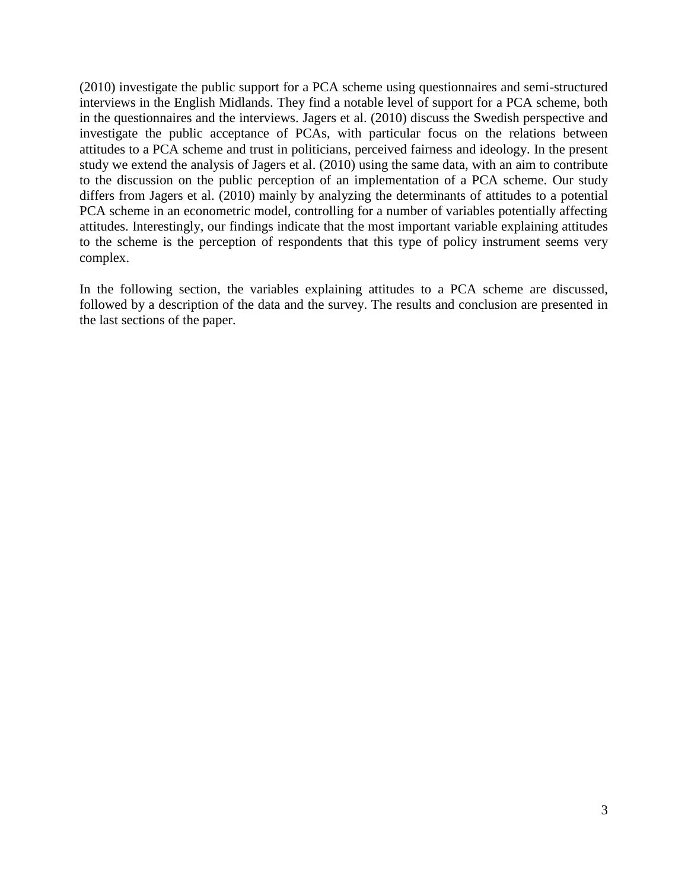(2010) investigate the public support for a PCA scheme using questionnaires and semi-structured interviews in the English Midlands. They find a notable level of support for a PCA scheme, both in the questionnaires and the interviews. Jagers et al. (2010) discuss the Swedish perspective and investigate the public acceptance of PCAs, with particular focus on the relations between attitudes to a PCA scheme and trust in politicians, perceived fairness and ideology. In the present study we extend the analysis of Jagers et al. (2010) using the same data, with an aim to contribute to the discussion on the public perception of an implementation of a PCA scheme. Our study differs from Jagers et al. (2010) mainly by analyzing the determinants of attitudes to a potential PCA scheme in an econometric model, controlling for a number of variables potentially affecting attitudes. Interestingly, our findings indicate that the most important variable explaining attitudes to the scheme is the perception of respondents that this type of policy instrument seems very complex.

In the following section, the variables explaining attitudes to a PCA scheme are discussed, followed by a description of the data and the survey. The results and conclusion are presented in the last sections of the paper.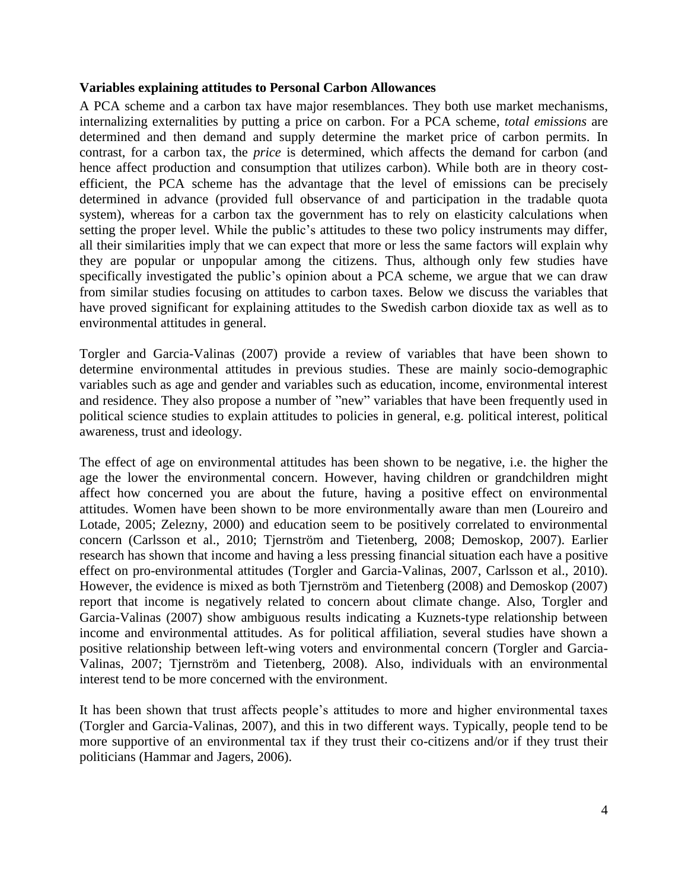#### **Variables explaining attitudes to Personal Carbon Allowances**

A PCA scheme and a carbon tax have major resemblances. They both use market mechanisms, internalizing externalities by putting a price on carbon. For a PCA scheme, *total emissions* are determined and then demand and supply determine the market price of carbon permits. In contrast, for a carbon tax, the *price* is determined, which affects the demand for carbon (and hence affect production and consumption that utilizes carbon). While both are in theory costefficient, the PCA scheme has the advantage that the level of emissions can be precisely determined in advance (provided full observance of and participation in the tradable quota system), whereas for a carbon tax the government has to rely on elasticity calculations when setting the proper level. While the public's attitudes to these two policy instruments may differ, all their similarities imply that we can expect that more or less the same factors will explain why they are popular or unpopular among the citizens. Thus, although only few studies have specifically investigated the public's opinion about a PCA scheme, we argue that we can draw from similar studies focusing on attitudes to carbon taxes. Below we discuss the variables that have proved significant for explaining attitudes to the Swedish carbon dioxide tax as well as to environmental attitudes in general.

Torgler and Garcia-Valinas (2007) provide a review of variables that have been shown to determine environmental attitudes in previous studies. These are mainly socio-demographic variables such as age and gender and variables such as education, income, environmental interest and residence. They also propose a number of "new" variables that have been frequently used in political science studies to explain attitudes to policies in general, e.g. political interest, political awareness, trust and ideology.

The effect of age on environmental attitudes has been shown to be negative, i.e. the higher the age the lower the environmental concern. However, having children or grandchildren might affect how concerned you are about the future, having a positive effect on environmental attitudes. Women have been shown to be more environmentally aware than men (Loureiro and Lotade, 2005; Zelezny, 2000) and education seem to be positively correlated to environmental concern (Carlsson et al., 2010; Tjernström and Tietenberg, 2008; Demoskop, 2007). Earlier research has shown that income and having a less pressing financial situation each have a positive effect on pro-environmental attitudes (Torgler and Garcia-Valinas, 2007, Carlsson et al., 2010). However, the evidence is mixed as both Tjernström and Tietenberg (2008) and Demoskop (2007) report that income is negatively related to concern about climate change. Also, Torgler and Garcia-Valinas (2007) show ambiguous results indicating a Kuznets-type relationship between income and environmental attitudes. As for political affiliation, several studies have shown a positive relationship between left-wing voters and environmental concern (Torgler and Garcia-Valinas, 2007; Tjernström and Tietenberg, 2008). Also, individuals with an environmental interest tend to be more concerned with the environment.

It has been shown that trust affects people's attitudes to more and higher environmental taxes (Torgler and Garcia-Valinas, 2007), and this in two different ways. Typically, people tend to be more supportive of an environmental tax if they trust their co-citizens and/or if they trust their politicians (Hammar and Jagers, 2006).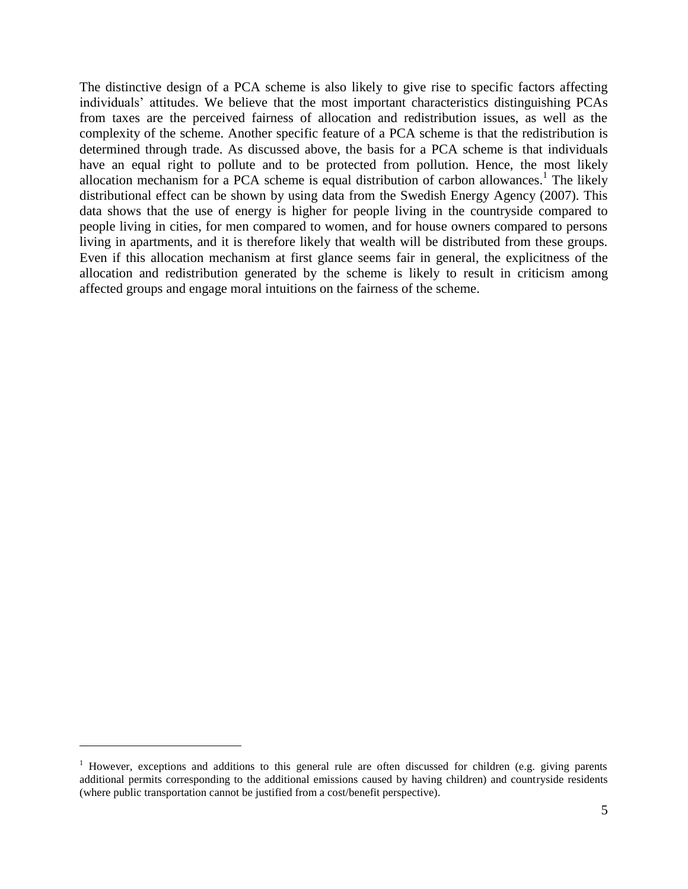The distinctive design of a PCA scheme is also likely to give rise to specific factors affecting individuals" attitudes. We believe that the most important characteristics distinguishing PCAs from taxes are the perceived fairness of allocation and redistribution issues, as well as the complexity of the scheme. Another specific feature of a PCA scheme is that the redistribution is determined through trade. As discussed above, the basis for a PCA scheme is that individuals have an equal right to pollute and to be protected from pollution. Hence, the most likely allocation mechanism for a PCA scheme is equal distribution of carbon allowances.<sup>1</sup> The likely distributional effect can be shown by using data from the Swedish Energy Agency (2007). This data shows that the use of energy is higher for people living in the countryside compared to people living in cities, for men compared to women, and for house owners compared to persons living in apartments, and it is therefore likely that wealth will be distributed from these groups. Even if this allocation mechanism at first glance seems fair in general, the explicitness of the allocation and redistribution generated by the scheme is likely to result in criticism among affected groups and engage moral intuitions on the fairness of the scheme.

 $\overline{a}$ 

<sup>&</sup>lt;sup>1</sup> However, exceptions and additions to this general rule are often discussed for children (e.g. giving parents additional permits corresponding to the additional emissions caused by having children) and countryside residents (where public transportation cannot be justified from a cost/benefit perspective).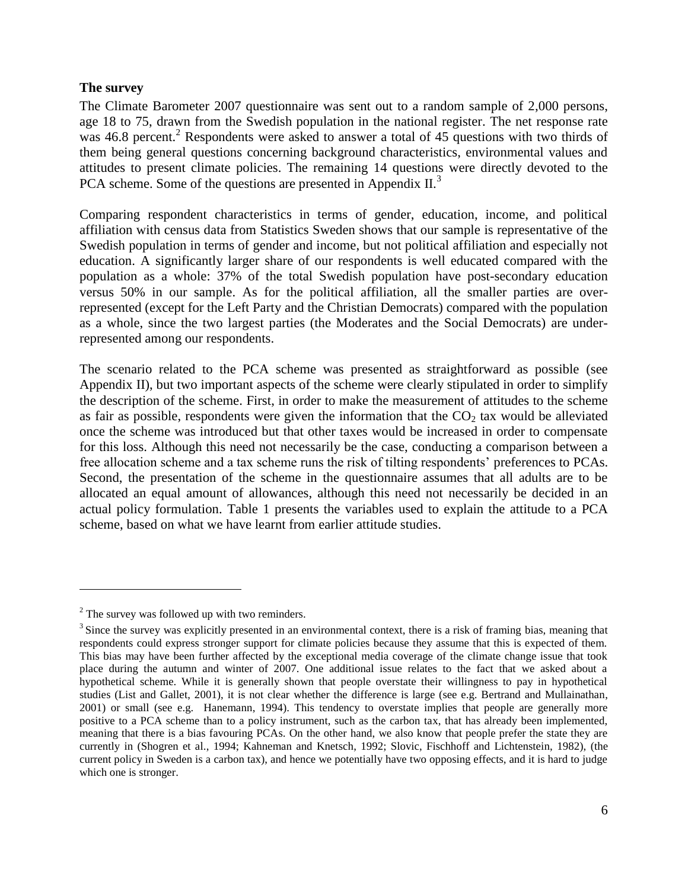#### **The survey**

The Climate Barometer 2007 questionnaire was sent out to a random sample of 2,000 persons, age 18 to 75, drawn from the Swedish population in the national register. The net response rate was 46.8 percent.<sup>2</sup> Respondents were asked to answer a total of 45 questions with two thirds of them being general questions concerning background characteristics, environmental values and attitudes to present climate policies. The remaining 14 questions were directly devoted to the PCA scheme. Some of the questions are presented in Appendix II.<sup>3</sup>

Comparing respondent characteristics in terms of gender, education, income, and political affiliation with census data from Statistics Sweden shows that our sample is representative of the Swedish population in terms of gender and income, but not political affiliation and especially not education. A significantly larger share of our respondents is well educated compared with the population as a whole: 37% of the total Swedish population have post-secondary education versus 50% in our sample. As for the political affiliation, all the smaller parties are overrepresented (except for the Left Party and the Christian Democrats) compared with the population as a whole, since the two largest parties (the Moderates and the Social Democrats) are underrepresented among our respondents.

The scenario related to the PCA scheme was presented as straightforward as possible (see Appendix II), but two important aspects of the scheme were clearly stipulated in order to simplify the description of the scheme. First, in order to make the measurement of attitudes to the scheme as fair as possible, respondents were given the information that the  $CO<sub>2</sub>$  tax would be alleviated once the scheme was introduced but that other taxes would be increased in order to compensate for this loss. Although this need not necessarily be the case, conducting a comparison between a free allocation scheme and a tax scheme runs the risk of tilting respondents' preferences to PCAs. Second, the presentation of the scheme in the questionnaire assumes that all adults are to be allocated an equal amount of allowances, although this need not necessarily be decided in an actual policy formulation. Table 1 presents the variables used to explain the attitude to a PCA scheme, based on what we have learnt from earlier attitude studies.

 $\overline{a}$ 

<sup>&</sup>lt;sup>2</sup> The survey was followed up with two reminders.

 $3$  Since the survey was explicitly presented in an environmental context, there is a risk of framing bias, meaning that respondents could express stronger support for climate policies because they assume that this is expected of them. This bias may have been further affected by the exceptional media coverage of the climate change issue that took place during the autumn and winter of 2007. One additional issue relates to the fact that we asked about a hypothetical scheme. While it is generally shown that people overstate their willingness to pay in hypothetical studies (List and Gallet, 2001), it is not clear whether the difference is large (see e.g. Bertrand and Mullainathan, 2001) or small (see e.g. Hanemann, 1994). This tendency to overstate implies that people are generally more positive to a PCA scheme than to a policy instrument, such as the carbon tax, that has already been implemented, meaning that there is a bias favouring PCAs. On the other hand, we also know that people prefer the state they are currently in (Shogren et al., 1994; Kahneman and Knetsch, 1992; Slovic, Fischhoff and Lichtenstein, 1982), (the current policy in Sweden is a carbon tax), and hence we potentially have two opposing effects, and it is hard to judge which one is stronger.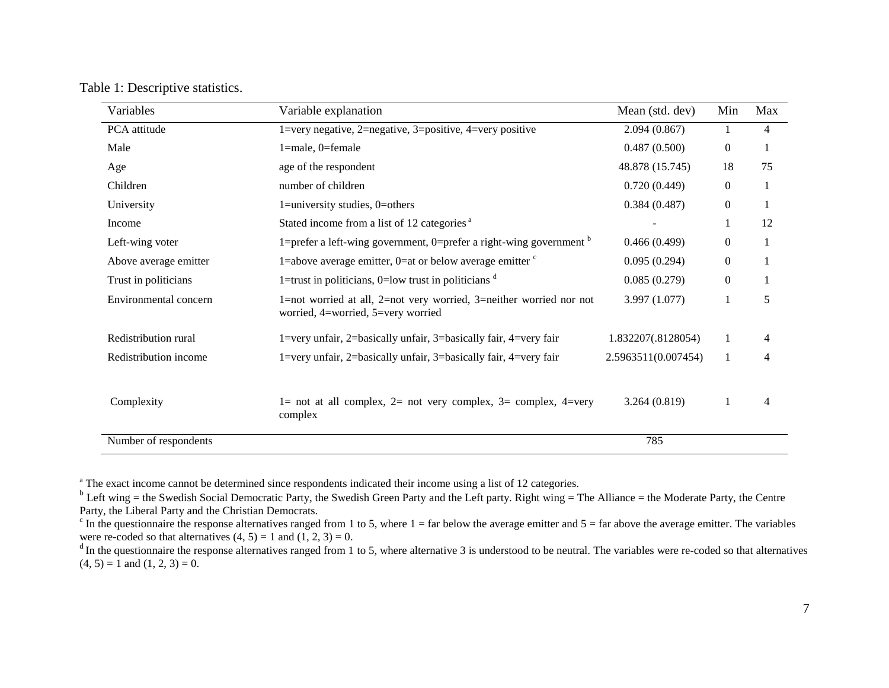|  |  |  | Table 1: Descriptive statistics. |
|--|--|--|----------------------------------|
|--|--|--|----------------------------------|

| Variables             | Variable explanation                                                                                      | Mean (std. dev)     | Min            | Max |
|-----------------------|-----------------------------------------------------------------------------------------------------------|---------------------|----------------|-----|
| PCA attitude          | 1=very negative, 2=negative, 3=positive, 4=very positive                                                  | 2.094(0.867)        |                | 4   |
| Male                  | $1$ =male, 0=female                                                                                       | 0.487(0.500)        | $\overline{0}$ |     |
| Age                   | age of the respondent                                                                                     | 48.878 (15.745)     | 18             | 75  |
| Children              | number of children                                                                                        | 0.720(0.449)        | $\Omega$       |     |
| University            | $1 =$ university studies, $0 =$ others                                                                    | 0.384(0.487)        | $\Omega$       |     |
| Income                | Stated income from a list of 12 categories <sup>a</sup>                                                   |                     |                | 12  |
| Left-wing voter       | 1=prefer a left-wing government, 0=prefer a right-wing government $b$                                     | 0.466(0.499)        | $\mathbf{0}$   |     |
| Above average emitter | 1=above average emitter, 0=at or below average emitter $\degree$                                          | 0.095(0.294)        | $\Omega$       |     |
| Trust in politicians  | 1=trust in politicians, 0=low trust in politicians $d$                                                    | 0.085(0.279)        | $\mathbf{0}$   |     |
| Environmental concern | 1=not worried at all, 2=not very worried, 3=neither worried nor not<br>worried, 4=worried, 5=very worried | 3.997 (1.077)       |                | 5   |
| Redistribution rural  | 1=very unfair, 2=basically unfair, 3=basically fair, 4=very fair                                          | 1.832207(.8128054)  |                | 4   |
| Redistribution income | 1=very unfair, 2=basically unfair, 3=basically fair, 4=very fair                                          | 2.5963511(0.007454) |                | 4   |
| Complexity            | $l =$ not at all complex, $2 =$ not very complex, $3 =$ complex, $4 =$ very<br>complex                    | 3.264(0.819)        |                | 4   |
| Number of respondents |                                                                                                           | 785                 |                |     |

<sup>a</sup> The exact income cannot be determined since respondents indicated their income using a list of 12 categories.

 $b$  Left wing = the Swedish Social Democratic Party, the Swedish Green Party and the Left party. Right wing = The Alliance = the Moderate Party, the Centre Party, the Liberal Party and the Christian Democrats.

<sup>c</sup> In the questionnaire the response alternatives ranged from 1 to 5, where  $1 = \text{far}$  below the average emitter and  $5 = \text{far}$  above the average emitter. The variables were re-coded so that alternatives  $(4, 5) = 1$  and  $(1, 2, 3) = 0$ .

<sup>d</sup> In the questionnaire the response alternatives ranged from 1 to 5, where alternative 3 is understood to be neutral. The variables were re-coded so that alternatives  $(4, 5) = 1$  and  $(1, 2, 3) = 0$ .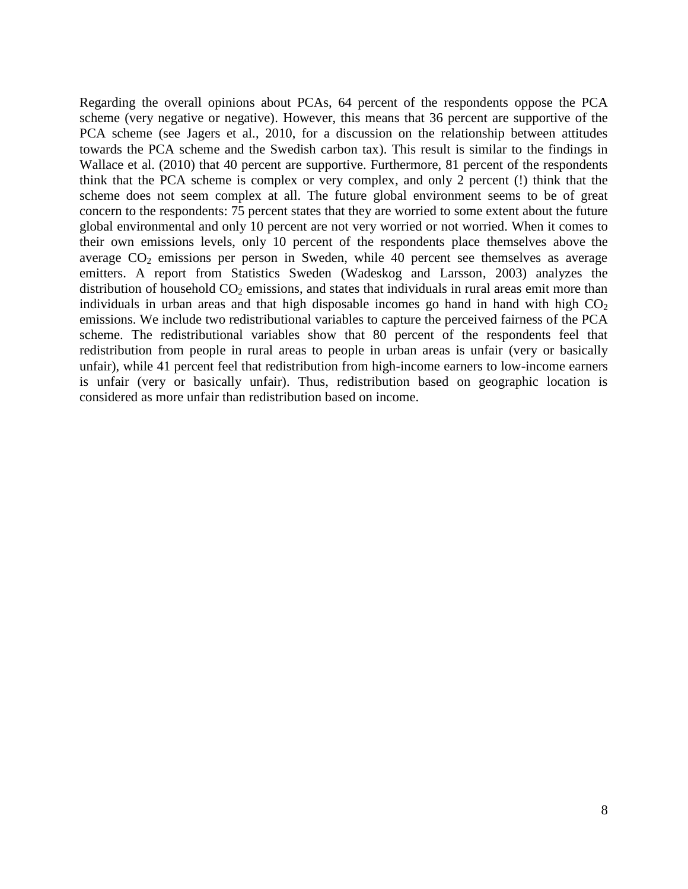Regarding the overall opinions about PCAs, 64 percent of the respondents oppose the PCA scheme (very negative or negative). However, this means that 36 percent are supportive of the PCA scheme (see Jagers et al., 2010, for a discussion on the relationship between attitudes towards the PCA scheme and the Swedish carbon tax). This result is similar to the findings in Wallace et al. (2010) that 40 percent are supportive. Furthermore, 81 percent of the respondents think that the PCA scheme is complex or very complex, and only 2 percent (!) think that the scheme does not seem complex at all. The future global environment seems to be of great concern to the respondents: 75 percent states that they are worried to some extent about the future global environmental and only 10 percent are not very worried or not worried. When it comes to their own emissions levels, only 10 percent of the respondents place themselves above the average  $CO<sub>2</sub>$  emissions per person in Sweden, while 40 percent see themselves as average emitters. A report from Statistics Sweden (Wadeskog and Larsson, 2003) analyzes the distribution of household  $CO<sub>2</sub>$  emissions, and states that individuals in rural areas emit more than individuals in urban areas and that high disposable incomes go hand in hand with high  $CO<sub>2</sub>$ emissions. We include two redistributional variables to capture the perceived fairness of the PCA scheme. The redistributional variables show that 80 percent of the respondents feel that redistribution from people in rural areas to people in urban areas is unfair (very or basically unfair), while 41 percent feel that redistribution from high-income earners to low-income earners is unfair (very or basically unfair). Thus, redistribution based on geographic location is considered as more unfair than redistribution based on income.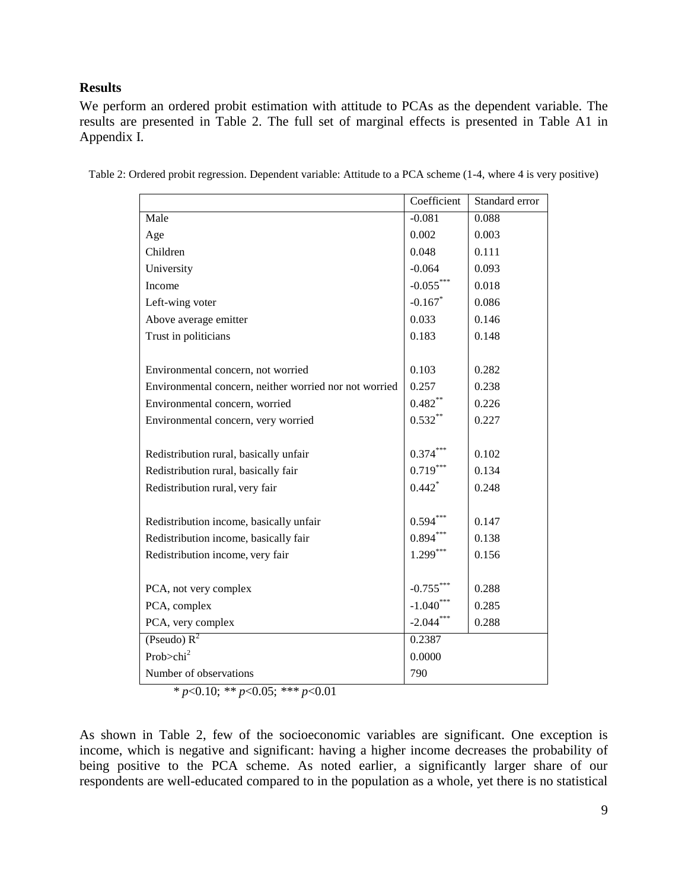#### **Results**

We perform an ordered probit estimation with attitude to PCAs as the dependent variable. The results are presented in Table 2. The full set of marginal effects is presented in Table A1 in Appendix I.

|  | Table 2: Ordered probit regression. Dependent variable: Attitude to a PCA scheme (1-4, where 4 is very positive) |  |  |
|--|------------------------------------------------------------------------------------------------------------------|--|--|
|  |                                                                                                                  |  |  |

|                                                        | Coefficient          | Standard error |
|--------------------------------------------------------|----------------------|----------------|
| Male                                                   | $-0.081$             | 0.088          |
| Age                                                    | 0.002                | 0.003          |
| Children                                               | 0.048                | 0.111          |
| University                                             | $-0.064$             | 0.093          |
| Income                                                 | $-0.055***$          | 0.018          |
| Left-wing voter                                        | $-0.167$ *           | 0.086          |
| Above average emitter                                  | 0.033                | 0.146          |
| Trust in politicians                                   | 0.183                | 0.148          |
|                                                        |                      |                |
| Environmental concern, not worried                     | 0.103                | 0.282          |
| Environmental concern, neither worried nor not worried | 0.257                | 0.238          |
| Environmental concern, worried                         | $0.482**$            | 0.226          |
| Environmental concern, very worried                    | $0.532***$           | 0.227          |
|                                                        |                      |                |
| Redistribution rural, basically unfair                 | $0.374***$           | 0.102          |
| Redistribution rural, basically fair                   | $0.719***$           | 0.134          |
| Redistribution rural, very fair                        | $0.442$ <sup>*</sup> | 0.248          |
|                                                        |                      |                |
| Redistribution income, basically unfair                | 0.594                | 0.147          |
| Redistribution income, basically fair                  | $0.894***$           | 0.138          |
| Redistribution income, very fair                       | $1.299***$           | 0.156          |
|                                                        |                      |                |
| PCA, not very complex                                  | $-0.755***$          | 0.288          |
| PCA, complex                                           | $-1.040$ ***         | 0.285          |
| PCA, very complex                                      | $-2.044$ ***         | 0.288          |
| (Pseudo) $R^2$                                         | 0.2387               |                |
| Prob $>$ chi $2$                                       | 0.0000               |                |
| Number of observations                                 | 790                  |                |

*\* p*<0.10; *\*\* p*<0.05; *\*\*\* p*<0.01

As shown in Table 2, few of the socioeconomic variables are significant. One exception is income, which is negative and significant: having a higher income decreases the probability of being positive to the PCA scheme. As noted earlier, a significantly larger share of our respondents are well-educated compared to in the population as a whole, yet there is no statistical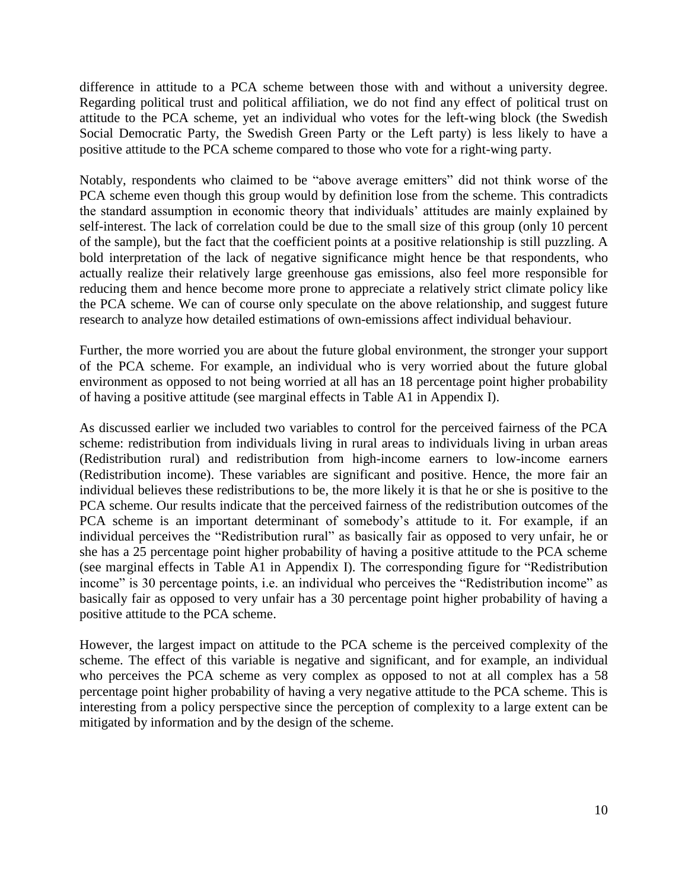difference in attitude to a PCA scheme between those with and without a university degree. Regarding political trust and political affiliation, we do not find any effect of political trust on attitude to the PCA scheme, yet an individual who votes for the left-wing block (the Swedish Social Democratic Party, the Swedish Green Party or the Left party) is less likely to have a positive attitude to the PCA scheme compared to those who vote for a right-wing party.

Notably, respondents who claimed to be "above average emitters" did not think worse of the PCA scheme even though this group would by definition lose from the scheme. This contradicts the standard assumption in economic theory that individuals" attitudes are mainly explained by self-interest. The lack of correlation could be due to the small size of this group (only 10 percent of the sample), but the fact that the coefficient points at a positive relationship is still puzzling. A bold interpretation of the lack of negative significance might hence be that respondents, who actually realize their relatively large greenhouse gas emissions, also feel more responsible for reducing them and hence become more prone to appreciate a relatively strict climate policy like the PCA scheme. We can of course only speculate on the above relationship, and suggest future research to analyze how detailed estimations of own-emissions affect individual behaviour.

Further, the more worried you are about the future global environment, the stronger your support of the PCA scheme. For example, an individual who is very worried about the future global environment as opposed to not being worried at all has an 18 percentage point higher probability of having a positive attitude (see marginal effects in Table A1 in Appendix I).

As discussed earlier we included two variables to control for the perceived fairness of the PCA scheme: redistribution from individuals living in rural areas to individuals living in urban areas (Redistribution rural) and redistribution from high-income earners to low-income earners (Redistribution income). These variables are significant and positive. Hence, the more fair an individual believes these redistributions to be, the more likely it is that he or she is positive to the PCA scheme. Our results indicate that the perceived fairness of the redistribution outcomes of the PCA scheme is an important determinant of somebody's attitude to it. For example, if an individual perceives the "Redistribution rural" as basically fair as opposed to very unfair, he or she has a 25 percentage point higher probability of having a positive attitude to the PCA scheme (see marginal effects in Table A1 in Appendix I). The corresponding figure for "Redistribution income" is 30 percentage points, i.e. an individual who perceives the "Redistribution income" as basically fair as opposed to very unfair has a 30 percentage point higher probability of having a positive attitude to the PCA scheme.

However, the largest impact on attitude to the PCA scheme is the perceived complexity of the scheme. The effect of this variable is negative and significant, and for example, an individual who perceives the PCA scheme as very complex as opposed to not at all complex has a 58 percentage point higher probability of having a very negative attitude to the PCA scheme. This is interesting from a policy perspective since the perception of complexity to a large extent can be mitigated by information and by the design of the scheme.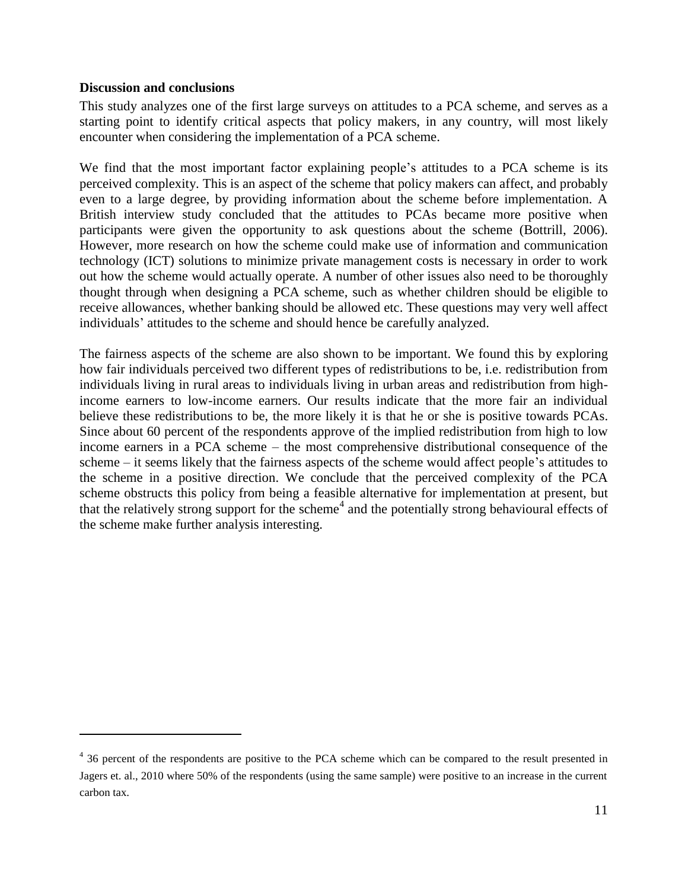#### **Discussion and conclusions**

 $\overline{a}$ 

This study analyzes one of the first large surveys on attitudes to a PCA scheme, and serves as a starting point to identify critical aspects that policy makers, in any country, will most likely encounter when considering the implementation of a PCA scheme.

We find that the most important factor explaining people's attitudes to a PCA scheme is its perceived complexity. This is an aspect of the scheme that policy makers can affect, and probably even to a large degree, by providing information about the scheme before implementation. A British interview study concluded that the attitudes to PCAs became more positive when participants were given the opportunity to ask questions about the scheme (Bottrill, 2006). However, more research on how the scheme could make use of information and communication technology (ICT) solutions to minimize private management costs is necessary in order to work out how the scheme would actually operate. A number of other issues also need to be thoroughly thought through when designing a PCA scheme, such as whether children should be eligible to receive allowances, whether banking should be allowed etc. These questions may very well affect individuals" attitudes to the scheme and should hence be carefully analyzed.

The fairness aspects of the scheme are also shown to be important. We found this by exploring how fair individuals perceived two different types of redistributions to be, i.e. redistribution from individuals living in rural areas to individuals living in urban areas and redistribution from highincome earners to low-income earners. Our results indicate that the more fair an individual believe these redistributions to be, the more likely it is that he or she is positive towards PCAs. Since about 60 percent of the respondents approve of the implied redistribution from high to low income earners in a PCA scheme – the most comprehensive distributional consequence of the scheme – it seems likely that the fairness aspects of the scheme would affect people"s attitudes to the scheme in a positive direction. We conclude that the perceived complexity of the PCA scheme obstructs this policy from being a feasible alternative for implementation at present, but that the relatively strong support for the scheme<sup>4</sup> and the potentially strong behavioural effects of the scheme make further analysis interesting.

<sup>&</sup>lt;sup>4</sup> 36 percent of the respondents are positive to the PCA scheme which can be compared to the result presented in Jagers et. al., 2010 where 50% of the respondents (using the same sample) were positive to an increase in the current carbon tax.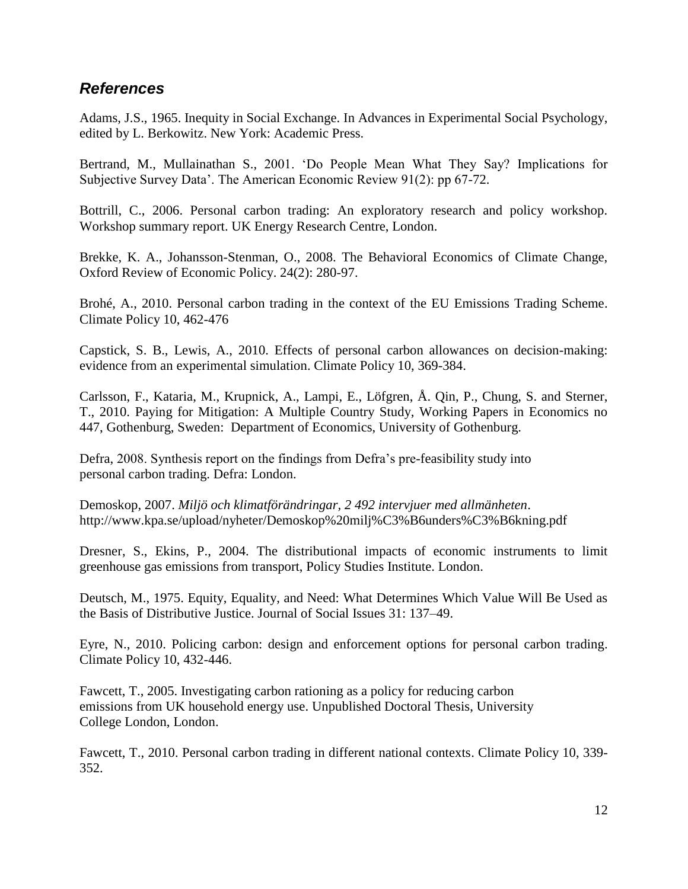### *References*

Adams, J.S., 1965. Inequity in Social Exchange. In Advances in Experimental Social Psychology, edited by L. Berkowitz. New York: Academic Press.

Bertrand, M., Mullainathan S., 2001. "Do People Mean What They Say? Implications for Subjective Survey Data'. The American Economic Review 91(2): pp 67-72.

Bottrill, C., 2006. Personal carbon trading: An exploratory research and policy workshop*.*  Workshop summary report. UK Energy Research Centre, London.

Brekke, K. A., Johansson-Stenman, O., 2008. The Behavioral Economics of Climate Change, Oxford Review of Economic Policy. 24(2): 280-97.

Brohé, A., 2010. [Personal carbon trading in the context of the EU Emissions Trading Scheme.](http://www.ingentaconnect.com.ezproxy.ub.gu.se/content/earthscan/cpol/2010/00000010/00000004/art00009;jsessionid=1it7ei2qu63mu.alexandra) Climate Policy 10, 462-476

Capstick, S. B., Lewis, A., 2010. [Effects of personal carbon allowances on decision-making:](http://www.ingentaconnect.com.ezproxy.ub.gu.se/content/earthscan/cpol/2010/00000010/00000004/art00004;jsessionid=1it7ei2qu63mu.alexandra)  [evidence from an experimental simulation.](http://www.ingentaconnect.com.ezproxy.ub.gu.se/content/earthscan/cpol/2010/00000010/00000004/art00004;jsessionid=1it7ei2qu63mu.alexandra) Climate Policy 10, 369-384.

Carlsson, F., Kataria, M., Krupnick, A., Lampi, E., Löfgren, Å. Qin, P., Chung, S. and Sterner, T., 2010. Paying for Mitigation: A Multiple Country Study, Working Papers in Economics no 447, Gothenburg, Sweden: Department of Economics, University of Gothenburg.

Defra, 2008. Synthesis report on the findings from Defra"s pre-feasibility study into personal carbon trading. Defra: London.

Demoskop, 2007. *Miljö och klimatförändringar, 2 492 intervjuer med allmänheten*. <http://www.kpa.se/upload/nyheter/Demoskop%20milj%C3%B6unders%C3%B6kning.pdf>

Dresner, S., Ekins, P., 2004. The distributional impacts of economic instruments to limit greenhouse gas emissions from transport, Policy Studies Institute. London.

Deutsch, M., 1975. Equity, Equality, and Need: What Determines Which Value Will Be Used as the Basis of Distributive Justice. Journal of Social Issues 31: 137–49.

Eyre, N., 2010. [Policing carbon: design and enforcement options for personal carbon trading.](http://www.ingentaconnect.com.ezproxy.ub.gu.se/content/earthscan/cpol/2010/00000010/00000004/art00007;jsessionid=1it7ei2qu63mu.alexandra) Climate Policy 10, 432-446.

Fawcett, T., 2005. Investigating carbon rationing as a policy for reducing carbon emissions from UK household energy use. Unpublished Doctoral Thesis, University College London, London.

Fawcett, T., 2010. Personal carbon trading in different national contexts. Climate Policy 10, 339- 352.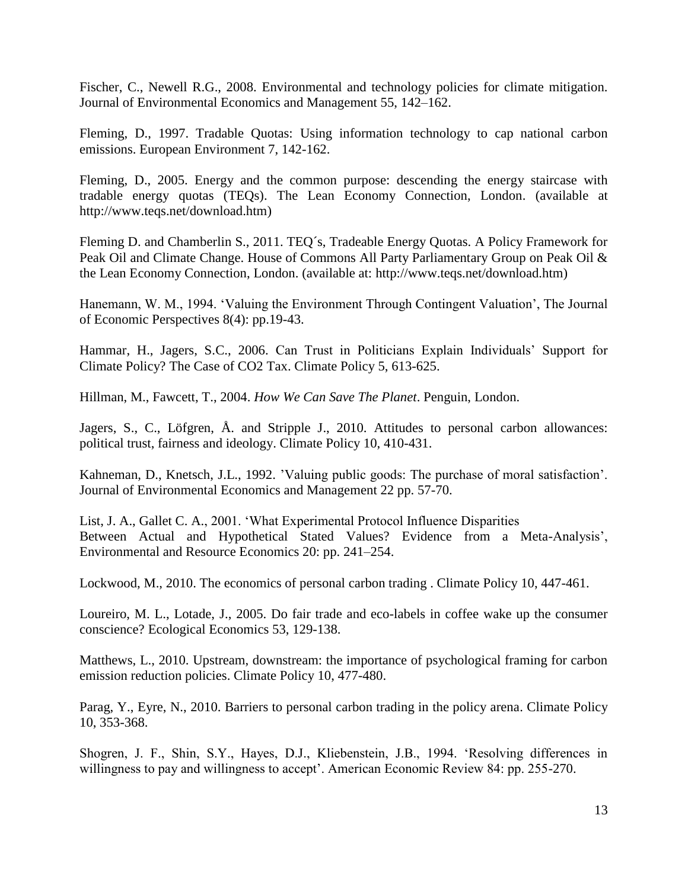Fischer, C., Newell R.G., 2008. Environmental and technology policies for climate mitigation. Journal of Environmental Economics and Management 55, 142–162.

Fleming, D., 1997. Tradable Quotas: Using information technology to cap national carbon emissions. European Environment 7, 142-162.

Fleming, D., 2005. Energy and the common purpose: descending the energy staircase with tradable energy quotas (TEQs). The Lean Economy Connection, London. (available at [http://www.teqs.net/download.htm\)](http://www.teqs.net/download.htm)

Fleming D. and Chamberlin S., 2011. TEQ´s, Tradeable Energy Quotas. A Policy Framework for Peak Oil and Climate Change. House of Commons All Party Parliamentary Group on Peak Oil & the Lean Economy Connection, London. (available at: [http://www.teqs.net/download.htm\)](http://www.teqs.net/download.htm)

Hanemann, W. M., 1994. "Valuing the Environment Through Contingent Valuation", The Journal of Economic Perspectives 8(4): pp.19-43.

Hammar, H., Jagers, S.C., 2006. Can Trust in Politicians Explain Individuals" Support for Climate Policy? The Case of CO2 Tax. Climate Policy 5, 613-625.

Hillman, M., Fawcett, T., 2004. *How We Can Save The Planet*. Penguin, London.

Jagers, S., C., Löfgren, Å. and Stripple J., 2010. Attitudes to personal carbon allowances: political trust, fairness and ideology. Climate Policy 10, 410-431.

Kahneman, D., Knetsch, J.L., 1992. "Valuing public goods: The purchase of moral satisfaction". Journal of Environmental Economics and Management 22 pp. 57-70.

List, J. A., Gallet C. A., 2001. "What Experimental Protocol Influence Disparities Between Actual and Hypothetical Stated Values? Evidence from a Meta-Analysis", Environmental and Resource Economics 20: pp. 241–254.

Lockwood, M., 2010. [The economics of personal carbon trading](http://www.ingentaconnect.com.ezproxy.ub.gu.se/content/earthscan/cpol/2010/00000010/00000004/art00008;jsessionid=1it7ei2qu63mu.alexandra) . Climate Policy 10, 447-461.

Loureiro, M. L., Lotade, J., 2005. Do fair trade and eco-labels in coffee wake up the consumer conscience? Ecological Economics 53, 129-138.

Matthews, L., 2010. Upstream, downstream: the importance of psychological framing for carbon emission reduction policies. Climate Policy 10, 477-480.

Parag, Y., Eyre, N., 2010. Barriers to personal carbon trading in the policy arena. [Climate Policy](http://www.ingentaconnect.com.ezproxy.ub.gu.se/content/earthscan/cpol;jsessionid=1it7ei2qu63mu.alexandra) 10, 353-368.

Shogren, J. F., Shin, S.Y., Hayes, D.J., Kliebenstein, J.B., 1994. "Resolving differences in willingness to pay and willingness to accept'. American Economic Review 84: pp. 255-270.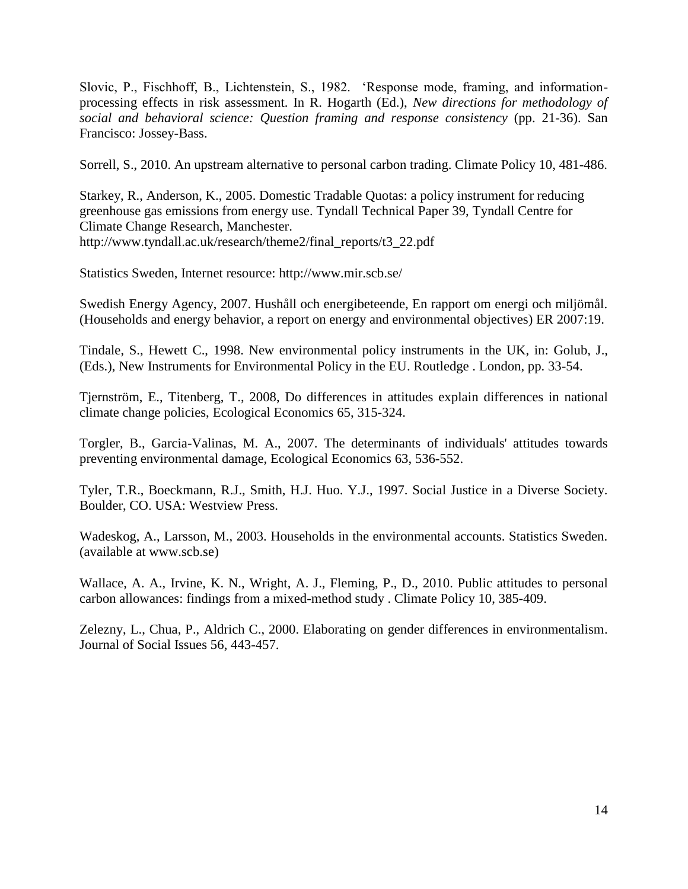Slovic, P., Fischhoff, B., Lichtenstein, S., 1982. "Response mode, framing, and informationprocessing effects in risk assessment. In R. Hogarth (Ed.), *New directions for methodology of social and behavioral science: Question framing and response consistency* (pp. 21-36). San Francisco: Jossey-Bass.

Sorrell, S., 2010. [An upstream alternative to personal carbon trading.](http://www.ingentaconnect.com.ezproxy.ub.gu.se/content/earthscan/cpol/2010/00000010/00000004/art00011) Climate Policy 10, 481-486.

Starkey, R., Anderson, K., 2005. Domestic Tradable Quotas: a policy instrument for reducing greenhouse gas emissions from energy use. Tyndall Technical Paper 39, Tyndall Centre for Climate Change Research, Manchester. http://www.tyndall.ac.uk/research/theme2/final\_reports/t3\_22.pdf

Statistics Sweden, Internet resource:<http://www.mir.scb.se/>

Swedish Energy Agency, 2007. Hushåll och energibeteende, En rapport om energi och miljömål. (Households and energy behavior, a report on energy and environmental objectives) ER 2007:19.

Tindale, S., Hewett C., 1998. New environmental policy instruments in the UK, in: Golub, J., (Eds.), New Instruments for Environmental Policy in the EU. Routledge . London, pp. 33-54.

Tjernström, E., Titenberg, T., 2008, Do differences in attitudes explain differences in national climate change policies, Ecological Economics 65, 315-324.

Torgler, B., Garcia-Valinas, M. A., 2007. The determinants of individuals' attitudes towards preventing environmental damage, Ecological Economics 63, 536-552.

Tyler, T.R., Boeckmann, R.J., Smith, H.J. Huo. Y.J., 1997. Social Justice in a Diverse Society. Boulder, CO. USA: Westview Press.

Wadeskog, A., Larsson, M., 2003. Households in the environmental accounts. Statistics Sweden. (available at www.scb.se)

Wallace, A. A., Irvine, K. N., Wright, A. J., Fleming, P., D., 2010. [Public attitudes to](http://www.ingentaconnect.com.ezproxy.ub.gu.se/content/earthscan/cpol/2010/00000010/00000004/art00005;jsessionid=1it7ei2qu63mu.alexandra) personal [carbon allowances: findings from a mixed-method study](http://www.ingentaconnect.com.ezproxy.ub.gu.se/content/earthscan/cpol/2010/00000010/00000004/art00005;jsessionid=1it7ei2qu63mu.alexandra) . Climate Policy 10, 385-409.

Zelezny, L., Chua, P., Aldrich C., 2000. Elaborating on gender differences in environmentalism. Journal of Social Issues 56, 443-457.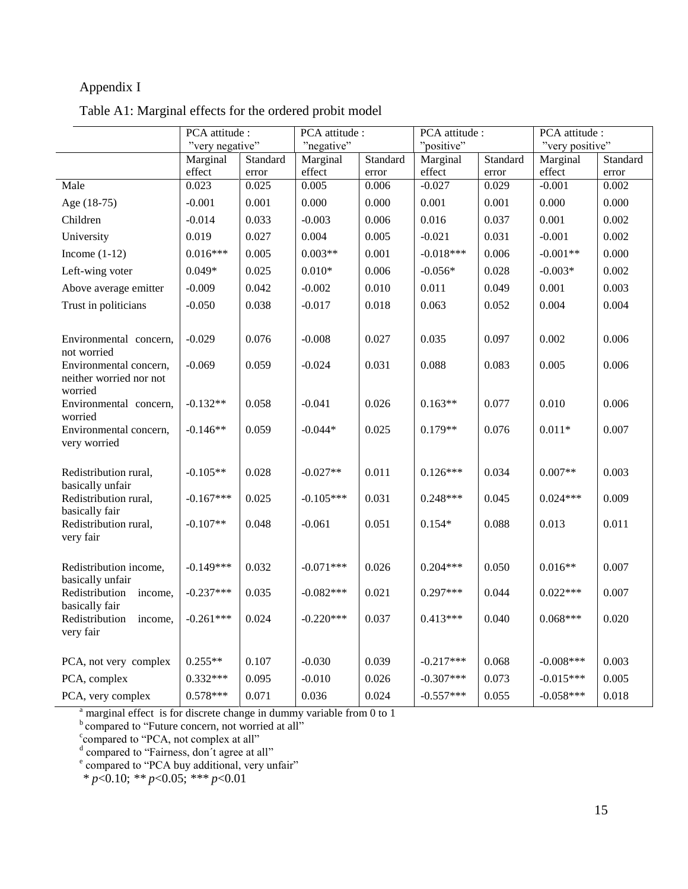### Appendix I

|                                                   | PCA attitude :  |          | PCA attitude : |          | PCA attitude : |          | PCA attitude :  |          |
|---------------------------------------------------|-----------------|----------|----------------|----------|----------------|----------|-----------------|----------|
|                                                   | "very negative" |          | "negative"     |          | "positive"     |          | "very positive" |          |
|                                                   | Marginal        | Standard | Marginal       | Standard | Marginal       | Standard | Marginal        | Standard |
|                                                   | effect          | error    | effect         | error    | effect         | error    | effect          | error    |
| Male                                              | 0.023           | 0.025    | 0.005          | 0.006    | $-0.027$       | 0.029    | $-0.001$        | 0.002    |
| Age (18-75)                                       | $-0.001$        | 0.001    | 0.000          | 0.000    | 0.001          | 0.001    | 0.000           | 0.000    |
| Children                                          | $-0.014$        | 0.033    | $-0.003$       | 0.006    | 0.016          | 0.037    | 0.001           | 0.002    |
| University                                        | 0.019           | 0.027    | 0.004          | 0.005    | $-0.021$       | 0.031    | $-0.001$        | 0.002    |
| Income $(1-12)$                                   | $0.016***$      | 0.005    | $0.003**$      | 0.001    | $-0.018***$    | 0.006    | $-0.001**$      | 0.000    |
| Left-wing voter                                   | $0.049*$        | 0.025    | $0.010*$       | 0.006    | $-0.056*$      | 0.028    | $-0.003*$       | 0.002    |
| Above average emitter                             | $-0.009$        | 0.042    | $-0.002$       | 0.010    | 0.011          | 0.049    | 0.001           | 0.003    |
| Trust in politicians                              | $-0.050$        | 0.038    | $-0.017$       | 0.018    | 0.063          | 0.052    | 0.004           | 0.004    |
|                                                   |                 |          |                |          |                |          |                 |          |
| Environmental concern,<br>not worried             | $-0.029$        | 0.076    | $-0.008$       | 0.027    | 0.035          | 0.097    | 0.002           | 0.006    |
| Environmental concern,<br>neither worried nor not | $-0.069$        | 0.059    | $-0.024$       | 0.031    | 0.088          | 0.083    | 0.005           | 0.006    |
| worried                                           |                 |          |                |          |                |          |                 |          |
| Environmental concern,                            | $-0.132**$      | 0.058    | $-0.041$       | 0.026    | $0.163**$      | 0.077    | 0.010           | 0.006    |
| worried<br>Environmental concern,                 | $-0.146**$      | 0.059    | $-0.044*$      | 0.025    | $0.179**$      | 0.076    | $0.011*$        | 0.007    |
| very worried                                      |                 |          |                |          |                |          |                 |          |
| Redistribution rural,                             | $-0.105**$      | 0.028    | $-0.027**$     | 0.011    | $0.126***$     | 0.034    | $0.007**$       | 0.003    |
| basically unfair<br>Redistribution rural,         | $-0.167***$     | 0.025    | $-0.105***$    | 0.031    | $0.248***$     | 0.045    | $0.024***$      | 0.009    |
| basically fair                                    |                 |          |                |          |                |          |                 |          |
| Redistribution rural,<br>very fair                | $-0.107**$      | 0.048    | $-0.061$       | 0.051    | $0.154*$       | 0.088    | 0.013           | 0.011    |
|                                                   |                 |          |                |          |                |          |                 |          |
| Redistribution income,<br>basically unfair        | $-0.149***$     | 0.032    | $-0.071***$    | 0.026    | $0.204***$     | 0.050    | $0.016**$       | 0.007    |
| Redistribution<br>income,                         | $-0.237***$     | 0.035    | $-0.082***$    | 0.021    | $0.297***$     | 0.044    | $0.022***$      | 0.007    |
| basically fair<br>Redistribution<br>income,       | $-0.261***$     | 0.024    | $-0.220***$    | 0.037    | $0.413***$     | 0.040    | $0.068***$      | 0.020    |
| very fair                                         |                 |          |                |          |                |          |                 |          |
| PCA, not very complex                             | $0.255**$       | 0.107    | $-0.030$       | 0.039    | $-0.217***$    | 0.068    | $-0.008***$     | 0.003    |
| PCA, complex                                      | $0.332***$      | 0.095    | $-0.010$       | 0.026    | $-0.307***$    | 0.073    | $-0.015***$     | 0.005    |
| PCA, very complex                                 | $0.578***$      | 0.071    | 0.036          | 0.024    | $-0.557***$    | 0.055    | $-0.058***$     | 0.018    |

Table A1: Marginal effects for the ordered probit model

 $a<sup>a</sup>$  marginal effect is for discrete change in dummy variable from 0 to 1

<sup>b</sup> compared to "Future concern, not worried at all"<br>
<sup>c</sup> compared to "PCA, not complex at all"<br>
<sup>d</sup> compared to "Fairness, don't agree at all"<br>
<sup>e</sup> compared to "PCA buy additional, very unfair"

*\* p*<0.10; *\*\* p*<0.05; *\*\*\* p*<0.01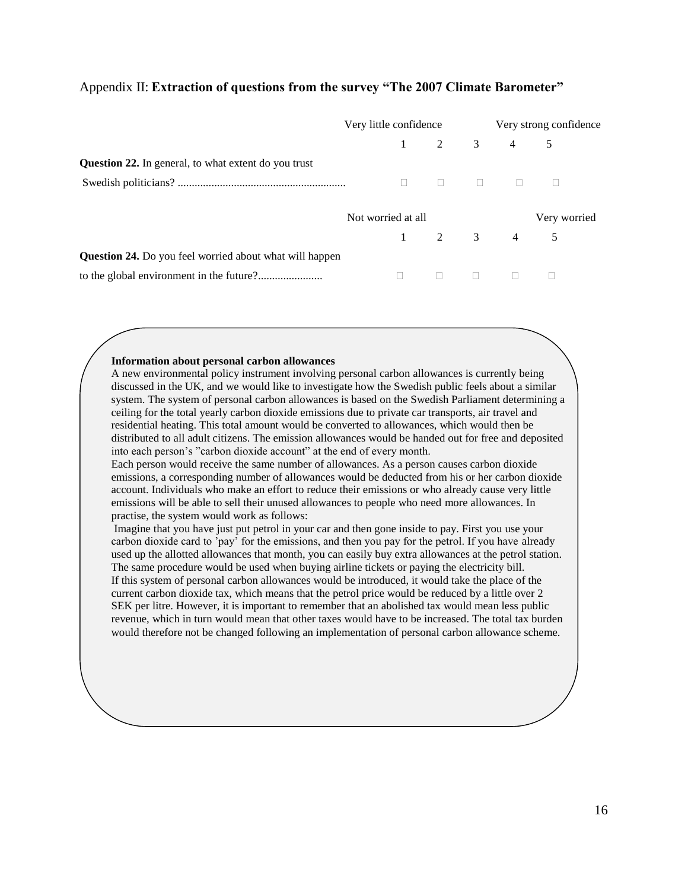#### Appendix II: **Extraction of questions from the survey "The 2007 Climate Barometer"**

|                                                                |                    | Very little confidence |                                |                | Very strong confidence |  |  |
|----------------------------------------------------------------|--------------------|------------------------|--------------------------------|----------------|------------------------|--|--|
|                                                                |                    |                        | $1 \qquad 2 \qquad 3 \qquad 4$ |                | 5                      |  |  |
| <b>Question 22.</b> In general, to what extent do you trust    |                    |                        |                                |                |                        |  |  |
|                                                                | $\Box$             |                        |                                |                |                        |  |  |
|                                                                |                    |                        |                                |                |                        |  |  |
|                                                                |                    |                        |                                |                |                        |  |  |
|                                                                | Not worried at all |                        |                                |                | Very worried           |  |  |
|                                                                |                    |                        | 2 $\overline{3}$               | $\overline{4}$ | 5                      |  |  |
| <b>Question 24.</b> Do you feel worried about what will happen |                    |                        |                                |                |                        |  |  |

#### **Information about personal carbon allowances**

A new environmental policy instrument involving personal carbon allowances is currently being discussed in the UK, and we would like to investigate how the Swedish public feels about a similar system. The system of personal carbon allowances is based on the Swedish Parliament determining a ceiling for the total yearly carbon dioxide emissions due to private car transports, air travel and residential heating. This total amount would be converted to allowances, which would then be distributed to all adult citizens. The emission allowances would be handed out for free and deposited into each person"s "carbon dioxide account" at the end of every month.

Each person would receive the same number of allowances. As a person causes carbon dioxide emissions, a corresponding number of allowances would be deducted from his or her carbon dioxide account. Individuals who make an effort to reduce their emissions or who already cause very little emissions will be able to sell their unused allowances to people who need more allowances. In practise, the system would work as follows:

Imagine that you have just put petrol in your car and then gone inside to pay. First you use your carbon dioxide card to "pay" for the emissions, and then you pay for the petrol. If you have already used up the allotted allowances that month, you can easily buy extra allowances at the petrol station. The same procedure would be used when buying airline tickets or paying the electricity bill. If this system of personal carbon allowances would be introduced, it would take the place of the current carbon dioxide tax, which means that the petrol price would be reduced by a little over 2 SEK per litre. However, it is important to remember that an abolished tax would mean less public

revenue, which in turn would mean that other taxes would have to be increased. The total tax burden would therefore not be changed following an implementation of personal carbon allowance scheme.